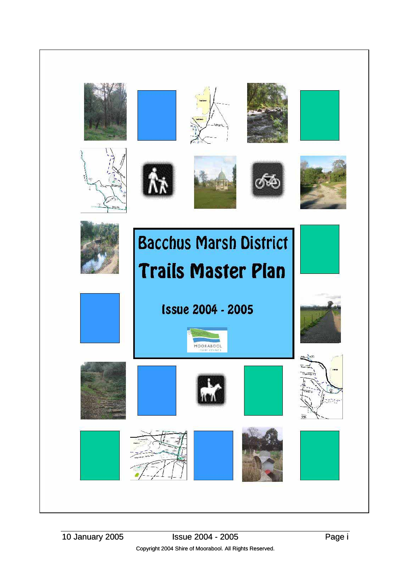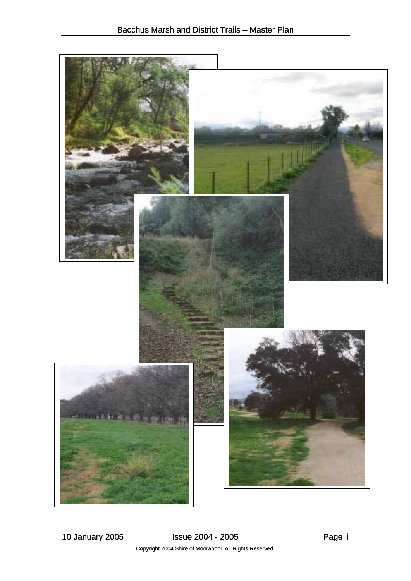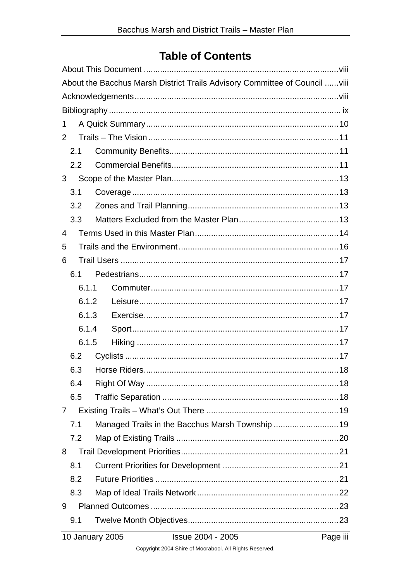# **Table of Contents**

|   | About the Bacchus Marsh District Trails Advisory Committee of Council viii |       |  |  |  |  |  |  |  |
|---|----------------------------------------------------------------------------|-------|--|--|--|--|--|--|--|
|   |                                                                            |       |  |  |  |  |  |  |  |
|   |                                                                            |       |  |  |  |  |  |  |  |
| 1 |                                                                            |       |  |  |  |  |  |  |  |
| 2 |                                                                            |       |  |  |  |  |  |  |  |
|   | 2.1                                                                        |       |  |  |  |  |  |  |  |
|   | 2.2                                                                        |       |  |  |  |  |  |  |  |
| 3 |                                                                            |       |  |  |  |  |  |  |  |
|   | 3.1                                                                        |       |  |  |  |  |  |  |  |
|   | 3.2                                                                        |       |  |  |  |  |  |  |  |
|   | 3.3                                                                        |       |  |  |  |  |  |  |  |
| 4 |                                                                            |       |  |  |  |  |  |  |  |
| 5 |                                                                            |       |  |  |  |  |  |  |  |
| 6 |                                                                            |       |  |  |  |  |  |  |  |
|   | 6.1                                                                        |       |  |  |  |  |  |  |  |
|   |                                                                            | 6.1.1 |  |  |  |  |  |  |  |
|   |                                                                            | 6.1.2 |  |  |  |  |  |  |  |
|   |                                                                            | 6.1.3 |  |  |  |  |  |  |  |
|   |                                                                            | 6.1.4 |  |  |  |  |  |  |  |
|   |                                                                            | 6.1.5 |  |  |  |  |  |  |  |
|   | 6.2                                                                        |       |  |  |  |  |  |  |  |
|   | 6.3                                                                        |       |  |  |  |  |  |  |  |
|   | 6.4                                                                        |       |  |  |  |  |  |  |  |
|   | 6.5                                                                        |       |  |  |  |  |  |  |  |
| 7 |                                                                            |       |  |  |  |  |  |  |  |
|   | 7.1                                                                        |       |  |  |  |  |  |  |  |
|   | 7.2                                                                        |       |  |  |  |  |  |  |  |
| 8 |                                                                            |       |  |  |  |  |  |  |  |
|   | 8.1                                                                        |       |  |  |  |  |  |  |  |
|   | 8.2                                                                        |       |  |  |  |  |  |  |  |
|   | 8.3                                                                        |       |  |  |  |  |  |  |  |
| 9 |                                                                            |       |  |  |  |  |  |  |  |
|   | 9.1                                                                        |       |  |  |  |  |  |  |  |

Issue 2004 - 2005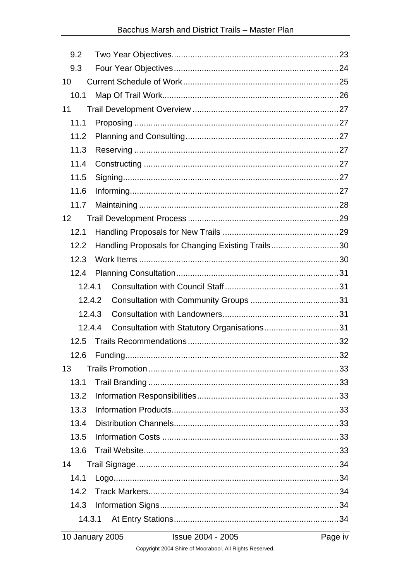| 9.2    |                                                   |  |  |
|--------|---------------------------------------------------|--|--|
| 9.3    |                                                   |  |  |
| 10     |                                                   |  |  |
| 10.1   |                                                   |  |  |
| 11     |                                                   |  |  |
| 11.1   |                                                   |  |  |
| 11.2   |                                                   |  |  |
| 11.3   |                                                   |  |  |
| 11.4   |                                                   |  |  |
| 11.5   |                                                   |  |  |
| 11.6   |                                                   |  |  |
| 11.7   |                                                   |  |  |
| 12     |                                                   |  |  |
| 12.1   |                                                   |  |  |
| 12.2   | Handling Proposals for Changing Existing Trails30 |  |  |
| 12.3   |                                                   |  |  |
| 12.4   |                                                   |  |  |
| 12.4.1 |                                                   |  |  |
|        | 12.4.2                                            |  |  |
|        | 12.4.3                                            |  |  |
|        | 12.4.4                                            |  |  |
| 12.5   |                                                   |  |  |
| 12.6   |                                                   |  |  |
| 13     |                                                   |  |  |
| 13.1   |                                                   |  |  |
| 13.2   |                                                   |  |  |
| 13.3   |                                                   |  |  |
| 13.4   |                                                   |  |  |
| 13.5   |                                                   |  |  |
| 13.6   |                                                   |  |  |
| 14     |                                                   |  |  |
| 14.1   |                                                   |  |  |
| 14.2   |                                                   |  |  |
| 14.3   |                                                   |  |  |
|        | 14.3.1                                            |  |  |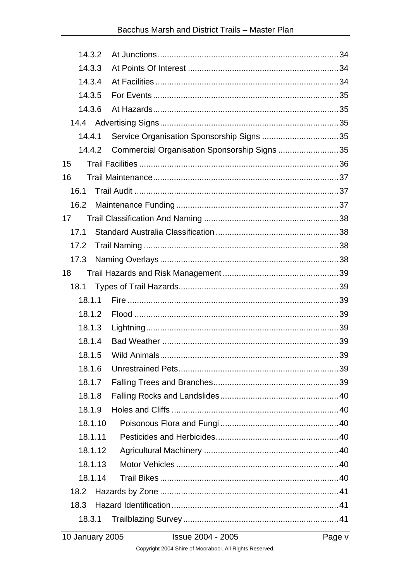| 14.3.2  |         |                                                     |  |
|---------|---------|-----------------------------------------------------|--|
| 14.3.3  |         |                                                     |  |
| 14.3.4  |         |                                                     |  |
| 14.3.5  |         |                                                     |  |
|         | 14.3.6  |                                                     |  |
|         |         |                                                     |  |
|         | 14.4.1  | Service Organisation Sponsorship Signs 35           |  |
|         |         | 14.4.2 Commercial Organisation Sponsorship Signs 35 |  |
| 15      |         |                                                     |  |
| 16      |         |                                                     |  |
| 16.1    |         |                                                     |  |
| 16.2    |         |                                                     |  |
| 17      |         |                                                     |  |
| 17.1    |         |                                                     |  |
| 17.2    |         |                                                     |  |
|         |         |                                                     |  |
| 18      |         |                                                     |  |
| 18.1    |         |                                                     |  |
|         | 18.1.1  |                                                     |  |
|         | 18.1.2  |                                                     |  |
|         | 18.1.3  |                                                     |  |
|         | 18.1.4  |                                                     |  |
|         | 18.1.5  |                                                     |  |
|         | 18.1.6  |                                                     |  |
|         | 18.1.7  |                                                     |  |
|         | 18.1.8  |                                                     |  |
|         | 18.1.9  |                                                     |  |
|         | 18.1.10 |                                                     |  |
|         | 18.1.11 |                                                     |  |
|         | 18.1.12 |                                                     |  |
| 18.1.13 |         |                                                     |  |
| 18.1.14 |         |                                                     |  |
| 18.2    |         |                                                     |  |
| 18.3    |         |                                                     |  |
| 18.3.1  |         |                                                     |  |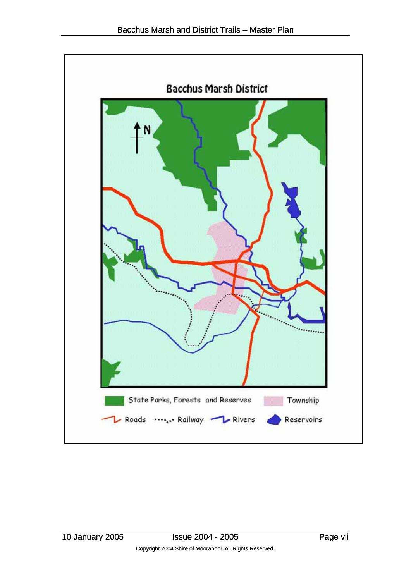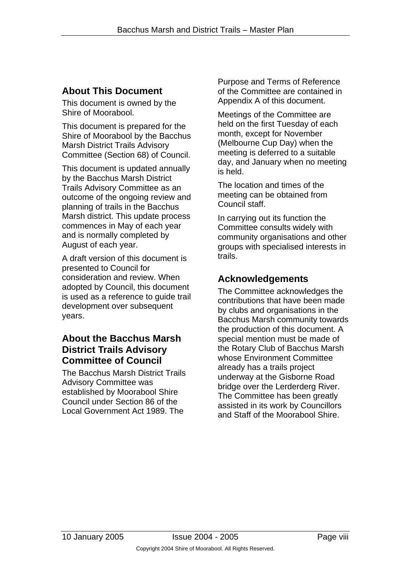# <span id="page-7-0"></span>**About This Document**

This document is owned by the Shire of Moorabool.

This document is prepared for the Shire of Moorabool by the Bacchus Marsh District Trails Advisory Committee (Section 68) of Council.

This document is updated annually by the Bacchus Marsh District Trails Advisory Committee as an outcome of the ongoing review and planning of trails in the Bacchus Marsh district. This update process commences in May of each year and is normally completed by August of each year.

A draft version of this document is presented to Council for consideration and review. When adopted by Council, this document is used as a reference to guide trail development over subsequent years.

# **About the Bacchus Marsh District Trails Advisory Committee of Council**

The Bacchus Marsh District Trails Advisory Committee was established by Moorabool Shire Council under Section 86 of the Local Government Act 1989. The

Purpose and Terms of Reference of the Committee are contained in Appendix A of this document.

Meetings of the Committee are held on the first Tuesday of each month, except for November (Melbourne Cup Day) when the meeting is deferred to a suitable day, and January when no meeting is held.

The location and times of the meeting can be obtained from Council staff.

In carrying out its function the Committee consults widely with community organisations and other groups with specialised interests in trails.

# **Acknowledgements**

The Committee acknowledges the contributions that have been made by clubs and organisations in the Bacchus Marsh community towards the production of this document. A special mention must be made of the Rotary Club of Bacchus Marsh whose Environment Committee already has a trails project underway at the Gisborne Road bridge over the Lerderderg River. The Committee has been greatly assisted in its work by Councillors and Staff of the Moorabool Shire.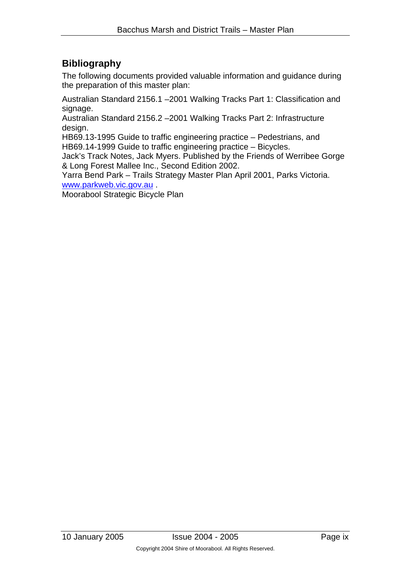# <span id="page-8-0"></span>**Bibliography**

The following documents provided valuable information and guidance during the preparation of this master plan:

Australian Standard 2156.1 –2001 Walking Tracks Part 1: Classification and signage.

Australian Standard 2156.2 –2001 Walking Tracks Part 2: Infrastructure design.

HB69.13-1995 Guide to traffic engineering practice – Pedestrians, and HB69.14-1999 Guide to traffic engineering practice – Bicycles.

Jack's Track Notes, Jack Myers. Published by the Friends of Werribee Gorge & Long Forest Mallee Inc., Second Edition 2002.

Yarra Bend Park – Trails Strategy Master Plan April 2001, Parks Victoria. [www.parkweb.vic.gov.au](http://www.parkweb.vic.gov.au/) .

Moorabool Strategic Bicycle Plan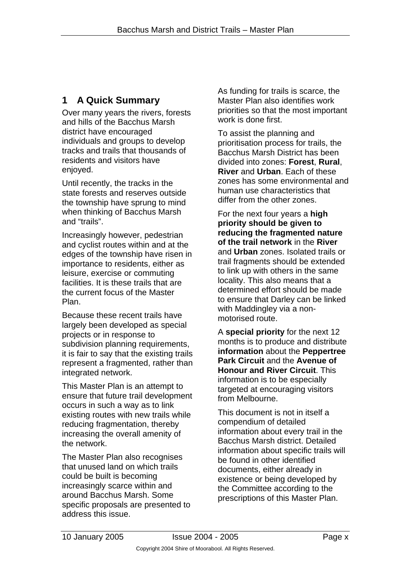# <span id="page-9-0"></span>**1 A Quick Summary**

Over many years the rivers, forests and hills of the Bacchus Marsh district have encouraged individuals and groups to develop tracks and trails that thousands of residents and visitors have enjoyed.

Until recently, the tracks in the state forests and reserves outside the township have sprung to mind when thinking of Bacchus Marsh and "trails".

Increasingly however, pedestrian and cyclist routes within and at the edges of the township have risen in importance to residents, either as leisure, exercise or commuting facilities. It is these trails that are the current focus of the Master Plan.

Because these recent trails have largely been developed as special projects or in response to subdivision planning requirements, it is fair to say that the existing trails represent a fragmented, rather than integrated network.

This Master Plan is an attempt to ensure that future trail development occurs in such a way as to link existing routes with new trails while reducing fragmentation, thereby increasing the overall amenity of the network.

The Master Plan also recognises that unused land on which trails could be built is becoming increasingly scarce within and around Bacchus Marsh. Some specific proposals are presented to address this issue.

As funding for trails is scarce, the Master Plan also identifies work priorities so that the most important work is done first.

To assist the planning and prioritisation process for trails, the Bacchus Marsh District has been divided into zones: **Forest**, **Rural**, **River** and **Urban**. Each of these zones has some environmental and human use characteristics that differ from the other zones.

For the next four years a **high priority should be given to reducing the fragmented nature of the trail network** in the **River** and **Urban** zones. Isolated trails or trail fragments should be extended to link up with others in the same locality. This also means that a determined effort should be made to ensure that Darley can be linked with Maddingley via a nonmotorised route.

A **special priority** for the next 12 months is to produce and distribute **information** about the **Peppertree Park Circuit** and the **Avenue of Honour and River Circuit**. This information is to be especially targeted at encouraging visitors from Melbourne.

This document is not in itself a compendium of detailed information about every trail in the Bacchus Marsh district. Detailed information about specific trails will be found in other identified documents, either already in existence or being developed by the Committee according to the prescriptions of this Master Plan.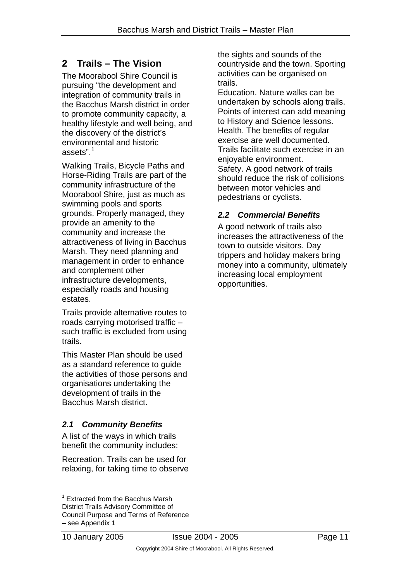# <span id="page-10-0"></span>**2 Trails – The Vision**

The Moorabool Shire Council is pursuing "the development and integration of community trails in the Bacchus Marsh district in order to promote community capacity, a healthy lifestyle and well being, and the discovery of the district's environmental and historic assets".[1](#page-10-1)

Walking Trails, Bicycle Paths and Horse-Riding Trails are part of the community infrastructure of the Moorabool Shire, just as much as swimming pools and sports grounds. Properly managed, they provide an amenity to the community and increase the attractiveness of living in Bacchus Marsh. They need planning and management in order to enhance and complement other infrastructure developments, especially roads and housing estates.

Trails provide alternative routes to roads carrying motorised traffic – such traffic is excluded from using trails.

This Master Plan should be used as a standard reference to guide the activities of those persons and organisations undertaking the development of trails in the Bacchus Marsh district.

#### *2.1 Community Benefits*

A list of the ways in which trails benefit the community includes:

Recreation. Trails can be used for relaxing, for taking time to observe the sights and sounds of the countryside and the town. Sporting activities can be organised on trails.

Education. Nature walks can be undertaken by schools along trails. Points of interest can add meaning to History and Science lessons. Health. The benefits of regular exercise are well documented. Trails facilitate such exercise in an enjoyable environment. Safety. A good network of trails should reduce the risk of collisions between motor vehicles and pedestrians or cyclists.

# *2.2 Commercial Benefits*

A good network of trails also increases the attractiveness of the town to outside visitors. Day trippers and holiday makers bring money into a community, ultimately increasing local employment opportunities.

<sup>1</sup> Extracted from the Bacchus Marsh

l

<span id="page-10-1"></span>District Trails Advisory Committee of Council Purpose and Terms of Reference – see Appendix 1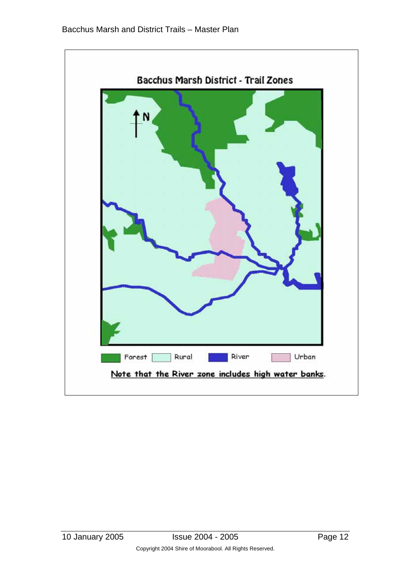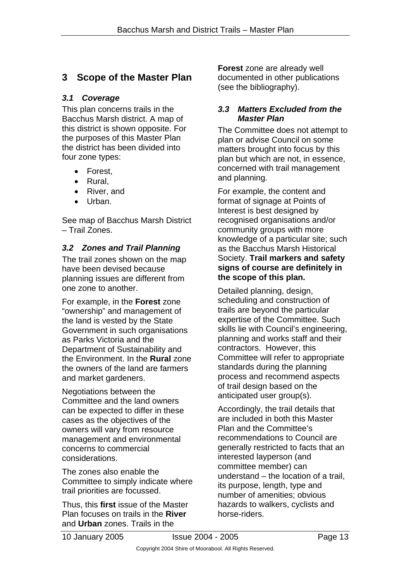# <span id="page-12-0"></span>**3 Scope of the Master Plan**

### *3.1 Coverage*

This plan concerns trails in the Bacchus Marsh district. A map of this district is shown opposite. For the purposes of this Master Plan the district has been divided into four zone types:

- Forest,
- Rural,
- River, and
- Urban.

See map of Bacchus Marsh District – Trail Zones.

#### *3.2 Zones and Trail Planning*

The trail zones shown on the map have been devised because planning issues are different from one zone to another.

For example, in the **Forest** zone "ownership" and management of the land is vested by the State Government in such organisations as Parks Victoria and the Department of Sustainability and the Environment. In the **Rural** zone the owners of the land are farmers and market gardeners.

Negotiations between the Committee and the land owners can be expected to differ in these cases as the objectives of the owners will vary from resource management and environmental concerns to commercial considerations.

The zones also enable the Committee to simply indicate where trail priorities are focussed.

Thus, this **first** issue of the Master Plan focuses on trails in the **River** and **Urban** zones. Trails in the

**Forest** zone are already well documented in other publications (see the bibliography).

#### *3.3 Matters Excluded from the Master Plan*

The Committee does not attempt to plan or advise Council on some matters brought into focus by this plan but which are not, in essence, concerned with trail management and planning.

For example, the content and format of signage at Points of Interest is best designed by recognised organisations and/or community groups with more knowledge of a particular site; such as the Bacchus Marsh Historical Society. **Trail markers and safety signs of course are definitely in the scope of this plan.**

Detailed planning, design, scheduling and construction of trails are beyond the particular expertise of the Committee. Such skills lie with Council's engineering, planning and works staff and their contractors. However, this Committee will refer to appropriate standards during the planning process and recommend aspects of trail design based on the anticipated user group(s).

Accordingly, the trail details that are included in both this Master Plan and the Committee's recommendations to Council are generally restricted to facts that an interested layperson (and committee member) can understand – the location of a trail, its purpose, length, type and number of amenities; obvious hazards to walkers, cyclists and horse-riders.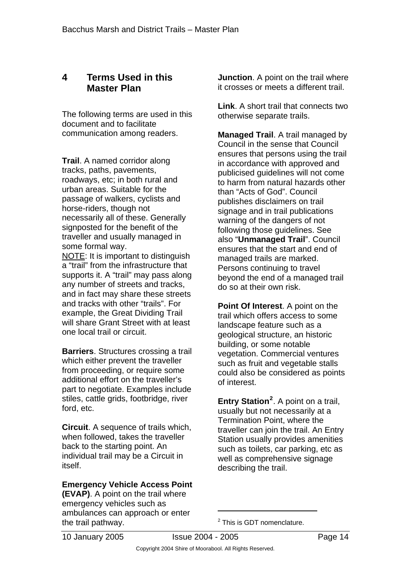# <span id="page-13-0"></span>**4 Terms Used in this Master Plan**

The following terms are used in this document and to facilitate communication among readers.

**Trail**. A named corridor along tracks, paths, pavements, roadways, etc; in both rural and urban areas. Suitable for the passage of walkers, cyclists and horse-riders, though not necessarily all of these. Generally signposted for the benefit of the traveller and usually managed in some formal way.

NOTE: It is important to distinguish a "trail" from the infrastructure that supports it. A "trail" may pass along any number of streets and tracks, and in fact may share these streets and tracks with other "trails". For example, the Great Dividing Trail will share Grant Street with at least one local trail or circuit.

**Barriers**. Structures crossing a trail which either prevent the traveller from proceeding, or require some additional effort on the traveller's part to negotiate. Examples include stiles, cattle grids, footbridge, river ford, etc.

**Circuit**. A sequence of trails which, when followed, takes the traveller back to the starting point. An individual trail may be a Circuit in itself.

#### **Emergency Vehicle Access Point**

**(EVAP)**. A point on the trail where emergency vehicles such as ambulances can approach or enter the trail pathway.

**Junction**. A point on the trail where it crosses or meets a different trail.

**Link**. A short trail that connects two otherwise separate trails.

**Managed Trail**. A trail managed by Council in the sense that Council ensures that persons using the trail in accordance with approved and publicised guidelines will not come to harm from natural hazards other than "Acts of God". Council publishes disclaimers on trail signage and in trail publications warning of the dangers of not following those guidelines. See also "**Unmanaged Trail**". Council ensures that the start and end of managed trails are marked. Persons continuing to travel beyond the end of a managed trail do so at their own risk.

**Point Of Interest**. A point on the trail which offers access to some landscape feature such as a geological structure, an historic building, or some notable vegetation. Commercial ventures such as fruit and vegetable stalls could also be considered as points of interest.

**Entry Station[2](#page-13-1)** . A point on a trail, usually but not necessarily at a Termination Point, where the traveller can join the trail. An Entry Station usually provides amenities such as toilets, car parking, etc as well as comprehensive signage describing the trail.

<sup>2</sup> This is GDT nomenclature.

<span id="page-13-1"></span>10 January 2005 Issue 2004 - 2005 Page 14

Copyright 2004 Shire of Moorabool. All Rights Reserved.

1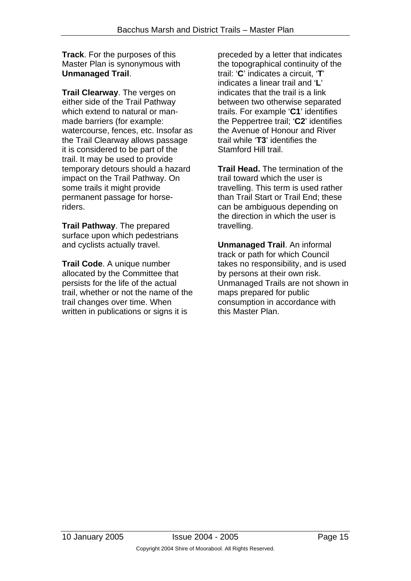**Track**. For the purposes of this Master Plan is synonymous with **Unmanaged Trail**.

**Trail Clearway**. The verges on either side of the Trail Pathway which extend to natural or manmade barriers (for example: watercourse, fences, etc. Insofar as the Trail Clearway allows passage it is considered to be part of the trail. It may be used to provide temporary detours should a hazard impact on the Trail Pathway. On some trails it might provide permanent passage for horseriders.

**Trail Pathway**. The prepared surface upon which pedestrians and cyclists actually travel.

**Trail Code**. A unique number allocated by the Committee that persists for the life of the actual trail, whether or not the name of the trail changes over time. When written in publications or signs it is

preceded by a letter that indicates the topographical continuity of the trail: '**C**' indicates a circuit, '**T**' indicates a linear trail and '**L**' indicates that the trail is a link between two otherwise separated trails. For example '**C1**' identifies the Peppertree trail; '**C2**' identifies the Avenue of Honour and River trail while '**T3**' identifies the Stamford Hill trail.

**Trail Head.** The termination of the trail toward which the user is travelling. This term is used rather than Trail Start or Trail End; these can be ambiguous depending on the direction in which the user is travelling.

**Unmanaged Trail**. An informal track or path for which Council takes no responsibility, and is used by persons at their own risk. Unmanaged Trails are not shown in maps prepared for public consumption in accordance with this Master Plan.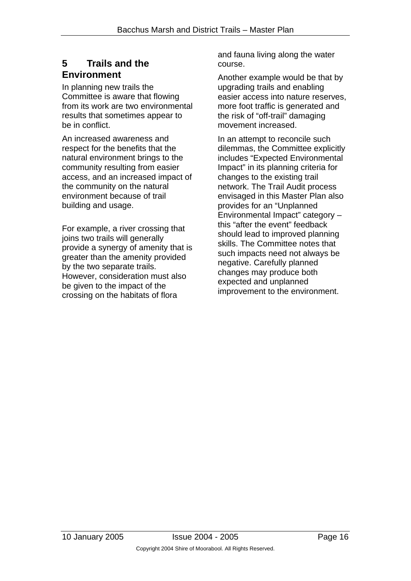# <span id="page-15-0"></span>**5 Trails and the Environment**

In planning new trails the Committee is aware that flowing from its work are two environmental results that sometimes appear to be in conflict.

An increased awareness and respect for the benefits that the natural environment brings to the community resulting from easier access, and an increased impact of the community on the natural environment because of trail building and usage.

For example, a river crossing that ioins two trails will generally provide a synergy of amenity that is greater than the amenity provided by the two separate trails. However, consideration must also be given to the impact of the crossing on the habitats of flora

and fauna living along the water course.

Another example would be that by upgrading trails and enabling easier access into nature reserves, more foot traffic is generated and the risk of "off-trail" damaging movement increased.

In an attempt to reconcile such dilemmas, the Committee explicitly includes "Expected Environmental Impact" in its planning criteria for changes to the existing trail network. The Trail Audit process envisaged in this Master Plan also provides for an "Unplanned Environmental Impact" category – this "after the event" feedback should lead to improved planning skills. The Committee notes that such impacts need not always be negative. Carefully planned changes may produce both expected and unplanned improvement to the environment.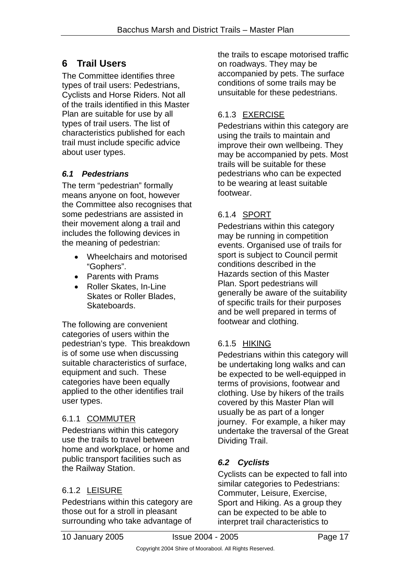# <span id="page-16-0"></span>**6 Trail Users**

The Committee identifies three types of trail users: Pedestrians, Cyclists and Horse Riders. Not all of the trails identified in this Master Plan are suitable for use by all types of trail users. The list of characteristics published for each trail must include specific advice about user types.

# *6.1 Pedestrians*

The term "pedestrian" formally means anyone on foot, however the Committee also recognises that some pedestrians are assisted in their movement along a trail and includes the following devices in the meaning of pedestrian:

- Wheelchairs and motorised "Gophers".
- Parents with Prams
- Roller Skates, In-Line Skates or Roller Blades, Skateboards.

The following are convenient categories of users within the pedestrian's type. This breakdown is of some use when discussing suitable characteristics of surface, equipment and such. These categories have been equally applied to the other identifies trail user types.

# 6.1.1 COMMUTER

Pedestrians within this category use the trails to travel between home and workplace, or home and public transport facilities such as the Railway Station.

# 6.1.2 LEISURE

Pedestrians within this category are those out for a stroll in pleasant surrounding who take advantage of

the trails to escape motorised traffic on roadways. They may be accompanied by pets. The surface conditions of some trails may be unsuitable for these pedestrians.

# 6.1.3 EXERCISE

Pedestrians within this category are using the trails to maintain and improve their own wellbeing. They may be accompanied by pets. Most trails will be suitable for these pedestrians who can be expected to be wearing at least suitable footwear.

# 6.1.4 SPORT

Pedestrians within this category may be running in competition events. Organised use of trails for sport is subject to Council permit conditions described in the Hazards section of this Master Plan. Sport pedestrians will generally be aware of the suitability of specific trails for their purposes and be well prepared in terms of footwear and clothing.

# 6.1.5 HIKING

Pedestrians within this category will be undertaking long walks and can be expected to be well-equipped in terms of provisions, footwear and clothing. Use by hikers of the trails covered by this Master Plan will usually be as part of a longer journey. For example, a hiker may undertake the traversal of the Great Dividing Trail.

# *6.2 Cyclists*

Cyclists can be expected to fall into similar categories to Pedestrians: Commuter, Leisure, Exercise, Sport and Hiking. As a group they can be expected to be able to interpret trail characteristics to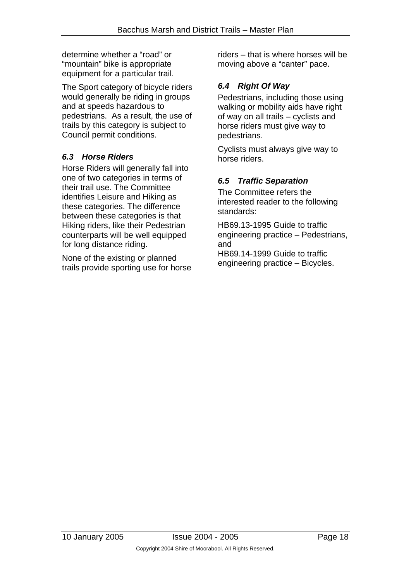<span id="page-17-0"></span>determine whether a "road" or "mountain" bike is appropriate equipment for a particular trail.

The Sport category of bicycle riders would generally be riding in groups and at speeds hazardous to pedestrians. As a result, the use of trails by this category is subject to Council permit conditions.

# *6.3 Horse Riders*

Horse Riders will generally fall into one of two categories in terms of their trail use. The Committee identifies Leisure and Hiking as these categories. The difference between these categories is that Hiking riders, like their Pedestrian counterparts will be well equipped for long distance riding.

None of the existing or planned trails provide sporting use for horse riders – that is where horses will be moving above a "canter" pace.

# *6.4 Right Of Way*

Pedestrians, including those using walking or mobility aids have right of way on all trails – cyclists and horse riders must give way to pedestrians.

Cyclists must always give way to horse riders.

# *6.5 Traffic Separation*

The Committee refers the interested reader to the following standards:

HB69.13-1995 Guide to traffic engineering practice – Pedestrians, and

HB69.14-1999 Guide to traffic engineering practice – Bicycles.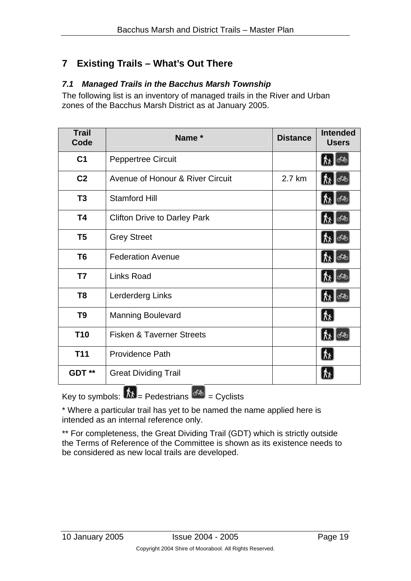# <span id="page-18-0"></span>**7 Existing Trails – What's Out There**

#### *7.1 Managed Trails in the Bacchus Marsh Township*

The following list is an inventory of managed trails in the River and Urban zones of the Bacchus Marsh District as at January 2005.

| <b>Trail</b><br>Code | Name *                               | <b>Distance</b> | <b>Intended</b><br><b>Users</b> |
|----------------------|--------------------------------------|-----------------|---------------------------------|
| C <sub>1</sub>       | <b>Peppertree Circuit</b>            |                 |                                 |
| C <sub>2</sub>       | Avenue of Honour & River Circuit     | 2.7 km          |                                 |
| T <sub>3</sub>       | <b>Stamford Hill</b>                 |                 | ∧ੈ⊼ ∥ ∂⊗                        |
| <b>T4</b>            | <b>Clifton Drive to Darley Park</b>  |                 | ∣‰∥ <mark>∕</mark> ∕ଈ           |
| T <sub>5</sub>       | <b>Grey Street</b>                   |                 | IMN ∞                           |
| T <sub>6</sub>       | <b>Federation Avenue</b>             |                 | ∐∧⊁∥≪⊛                          |
| T7                   | Links Road                           |                 |                                 |
| T <sub>8</sub>       | Lerderderg Links                     |                 | ੴ⊛                              |
| T <sub>9</sub>       | <b>Manning Boulevard</b>             |                 | እ⊁                              |
| <b>T10</b>           | <b>Fisken &amp; Taverner Streets</b> |                 |                                 |
| <b>T11</b>           | Providence Path                      |                 | $ \mathbf{v} $                  |
| GDT **               | <b>Great Dividing Trail</b>          |                 |                                 |

Key to symbols:  $\hat{M}$  = Pedestrians  $\delta$  = Cyclists

\* Where a particular trail has yet to be named the name applied here is intended as an internal reference only.

\*\* For completeness, the Great Dividing Trail (GDT) which is strictly outside the Terms of Reference of the Committee is shown as its existence needs to be considered as new local trails are developed.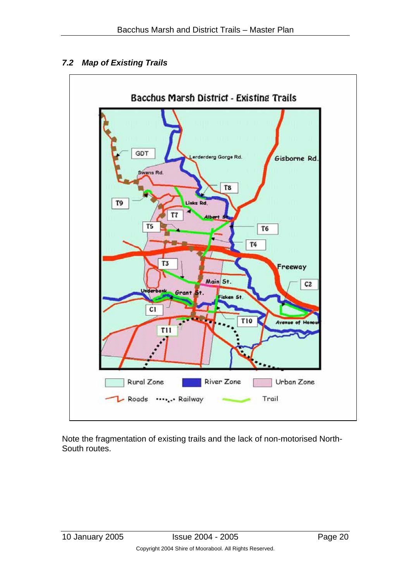

# <span id="page-19-0"></span>*7.2 Map of Existing Trails*

Note the fragmentation of existing trails and the lack of non-motorised North-South routes.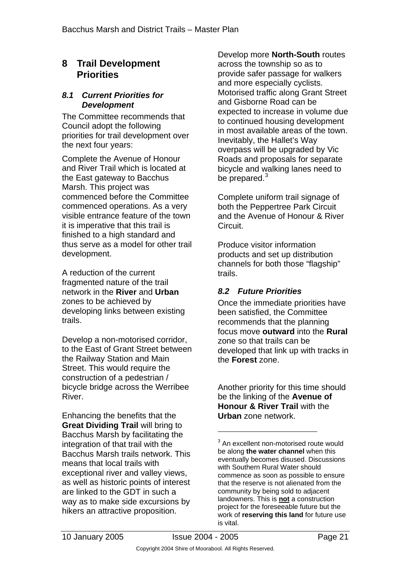# <span id="page-20-0"></span>**8 Trail Development Priorities**

#### *8.1 Current Priorities for Development*

The Committee recommends that Council adopt the following priorities for trail development over the next four years:

Complete the Avenue of Honour and River Trail which is located at the East gateway to Bacchus Marsh. This project was commenced before the Committee commenced operations. As a very visible entrance feature of the town it is imperative that this trail is finished to a high standard and thus serve as a model for other trail development.

A reduction of the current fragmented nature of the trail network in the **River** and **Urban**  zones to be achieved by developing links between existing trails.

Develop a non-motorised corridor, to the East of Grant Street between the Railway Station and Main Street. This would require the construction of a pedestrian / bicycle bridge across the Werribee River.

<span id="page-20-1"></span>Enhancing the benefits that the **Great Dividing Trail** will bring to Bacchus Marsh by facilitating the integration of that trail with the Bacchus Marsh trails network. This means that local trails with exceptional river and valley views, as well as historic points of interest are linked to the GDT in such a way as to make side excursions by hikers an attractive proposition.

Develop more **North-South** routes across the township so as to provide safer passage for walkers and more especially cyclists. Motorised traffic along Grant Street and Gisborne Road can be expected to increase in volume due to continued housing development in most available areas of the town. Inevitably, the Hallet's Way overpass will be upgraded by Vic Roads and proposals for separate bicycle and walking lanes need to be prepared. $3$ 

Complete uniform trail signage of both the Peppertree Park Circuit and the Avenue of Honour & River Circuit.

Produce visitor information products and set up distribution channels for both those "flagship" trails.

#### *8.2 Future Priorities*

Once the immediate priorities have been satisfied, the Committee recommends that the planning focus move **outward** into the **Rural**  zone so that trails can be developed that link up with tracks in the **Forest** zone.

Another priority for this time should be the linking of the **Avenue of Honour & River Trail** with the **Urban** zone network.

1

<sup>&</sup>lt;sup>3</sup> An excellent non-motorised route would be along **the water channel** when this eventually becomes disused. Discussions with Southern Rural Water should commence as soon as possible to ensure that the reserve is not alienated from the community by being sold to adjacent landowners. This is **not** a construction project for the foreseeable future but the work of **reserving this land** for future use is vital.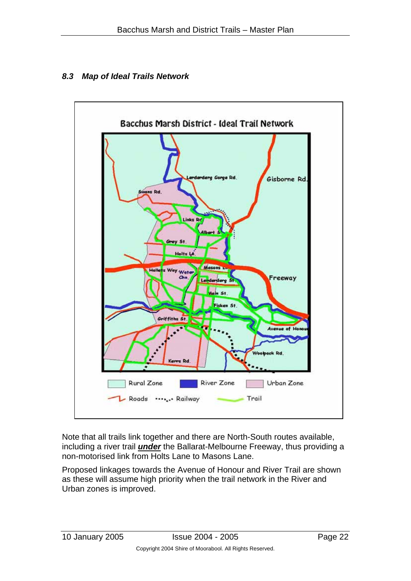## <span id="page-21-0"></span>*8.3 Map of Ideal Trails Network*



Note that all trails link together and there are North-South routes available, including a river trail *under* the Ballarat-Melbourne Freeway, thus providing a non-motorised link from Holts Lane to Masons Lane.

Proposed linkages towards the Avenue of Honour and River Trail are shown as these will assume high priority when the trail network in the River and Urban zones is improved.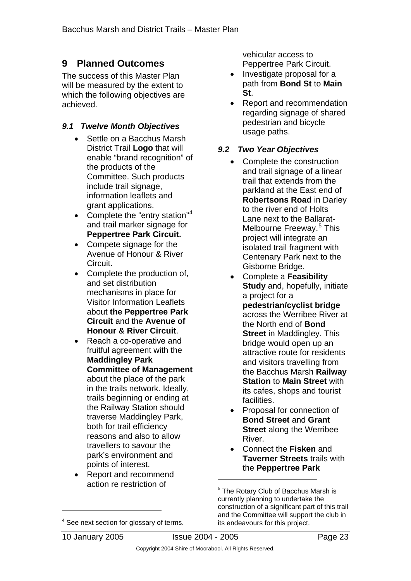# <span id="page-22-0"></span>**9 Planned Outcomes**

The success of this Master Plan will be measured by the extent to which the following objectives are achieved.

#### *9.1 Twelve Month Objectives*

- Settle on a Bacchus Marsh District Trail **Logo** that will enable "brand recognition" of the products of the Committee. Such products include trail signage. information leaflets and grant applications.
- Complete the "entry station"<sup>[4](#page-22-1)</sup> and trail marker signage for **Peppertree Park Circuit.**
- Compete signage for the Avenue of Honour & River Circuit.
- Complete the production of . and set distribution mechanisms in place for Visitor Information Leaflets about **the Peppertree Park Circuit** and the **Avenue of Honour & River Circuit**.
- Reach a co-operative and fruitful agreement with the **Maddingley Park Committee of Management** about the place of the park in the trails network. Ideally, trails beginning or ending at the Railway Station should traverse Maddingley Park, both for trail efficiency reasons and also to allow travellers to savour the park's environment and points of interest.
- Report and recommend action re restriction of

vehicular access to Peppertree Park Circuit.

- Investigate proposal for a path from **Bond St** to **Main St**.
- Report and recommendation regarding signage of shared pedestrian and bicycle usage paths.

# *9.2 Two Year Objectives*

- Complete the construction and trail signage of a linear trail that extends from the parkland at the East end of **Robertsons Road** in Darley to the river end of Holts Lane next to the Ballarat-Melbourne Freeway.<sup>[5](#page-22-2)</sup> This project will integrate an isolated trail fragment with Centenary Park next to the Gisborne Bridge.
- Complete a **Feasibility Study** and, hopefully, initiate a project for a **pedestrian/cyclist bridge** across the Werribee River at the North end of **Bond Street** in Maddingley. This bridge would open up an attractive route for residents and visitors travelling from the Bacchus Marsh **Railway Station** to **Main Street** with its cafes, shops and tourist facilities.
- Proposal for connection of **Bond Street** and **Grant Street** along the Werribee River.
- Connect the **Fisken** and **Taverner Streets** trails with the **Peppertree Park**

<span id="page-22-2"></span>l

<sup>&</sup>lt;sup>5</sup> The Rotary Club of Bacchus Marsh is currently planning to undertake the construction of a significant part of this trail and the Committee will support the club in its endeavours for this project.

<span id="page-22-1"></span><sup>&</sup>lt;sup>4</sup> See next section for glossary of terms.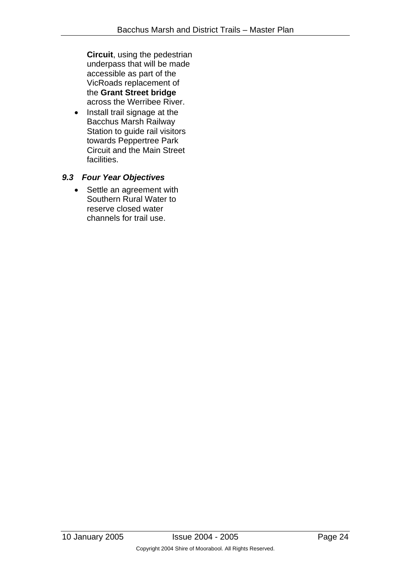<span id="page-23-0"></span>**Circuit**, using the pedestrian underpass that will be made accessible as part of the VicRoads replacement of the **Grant Street bridge** across the Werribee River.

• Install trail signage at the Bacchus Marsh Railway Station to guide rail visitors towards Peppertree Park Circuit and the Main Street facilities.

### *9.3 Four Year Objectives*

• Settle an agreement with Southern Rural Water to reserve closed water channels for trail use.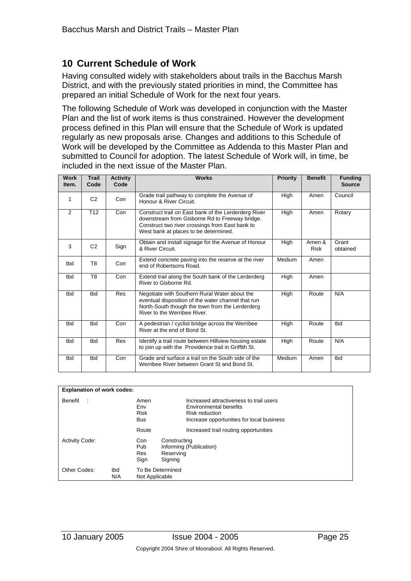# <span id="page-24-0"></span>**10 Current Schedule of Work**

Having consulted widely with stakeholders about trails in the Bacchus Marsh District, and with the previously stated priorities in mind, the Committee has prepared an initial Schedule of Work for the next four years.

The following Schedule of Work was developed in conjunction with the Master Plan and the list of work items is thus constrained. However the development process defined in this Plan will ensure that the Schedule of Work is updated regularly as new proposals arise. Changes and additions to this Schedule of Work will be developed by the Committee as Addenda to this Master Plan and submitted to Council for adoption. The latest Schedule of Work will, in time, be included in the next issue of the Master Plan.

| <b>Work</b><br>Item. | <b>Trail</b><br>Code | <b>Activity</b><br>Code | <b>Works</b>                                                                                                                                                                                       | <b>Priority</b> | <b>Benefit</b>        | <b>Funding</b><br><b>Source</b> |
|----------------------|----------------------|-------------------------|----------------------------------------------------------------------------------------------------------------------------------------------------------------------------------------------------|-----------------|-----------------------|---------------------------------|
| 1                    | C <sub>2</sub>       | Con                     | Grade trail pathway to complete the Avenue of<br>Honour & River Circuit.                                                                                                                           | High            | Amen                  | Council                         |
| $\overline{2}$       | T <sub>12</sub>      | Con                     | Construct trail on East bank of the Lerderderg River<br>downstream from Gisborne Rd to Freeway bridge.<br>Construct two river crossings from East bank to<br>West bank at places to be determined. | High            | Amen                  | Rotary                          |
| 3                    | C <sub>2</sub>       | Sign                    | Obtain and install signage for the Avenue of Honour<br>& River Circuit.                                                                                                                            | High            | Amen &<br><b>Risk</b> | Grant<br>obtained               |
| tbd                  | T <sub>8</sub>       | Con                     | Extend concrete paving into the reserve at the river<br>end of Robertsons Road.                                                                                                                    | Medium          | Amen                  |                                 |
| tbd                  | T <sub>8</sub>       | Con                     | Extend trail along the South bank of the Lerderderg<br>River to Gisborne Rd.                                                                                                                       | High            | Amen                  |                                 |
| tbd                  | tbd<br><b>Res</b>    |                         | Negotiate with Southern Rural Water about the<br>eventual disposition of the water channel that run<br>North-South though the town from the Lerderderg<br>River to the Werribee River.             | High            | Route                 | N/A                             |
| tbd                  | tbd                  | Con                     | A pedestrian / cyclist bridge across the Werribee<br>River at the end of Bond St.                                                                                                                  | High            | Route                 | tbd                             |
| tbd                  | tbd                  | <b>Res</b>              | Identify a trail route between Hillview housing estate<br>to join up with the Providence trail in Griffith St.                                                                                     | High            | Route                 | N/A                             |
| tbd                  | tbd                  | Con                     | Grade and surface a trail on the South side of the<br>Werribee River between Grant St and Bond St.                                                                                                 | Medium          | Amen                  | tbd                             |

| <b>Explanation of work codes:</b> |            |                                          |                                                                                                                                                |  |  |
|-----------------------------------|------------|------------------------------------------|------------------------------------------------------------------------------------------------------------------------------------------------|--|--|
| Benefit<br>$\cdot$ :              |            | Amen<br>Env<br><b>Risk</b><br><b>Bus</b> | Increased attractiveness to trail users<br><b>Environmental benefits</b><br><b>Risk reduction</b><br>Increase opportunities for local business |  |  |
|                                   |            | Route                                    | Increased trail routing opportunities                                                                                                          |  |  |
| <b>Activity Code:</b>             |            | Con<br>Pub<br><b>Res</b><br>Sign         | Constructing<br>Informing (Publication)<br>Reserving<br>Signing                                                                                |  |  |
| Other Codes:                      | tbd<br>N/A | Not Applicable                           | To Be Determined                                                                                                                               |  |  |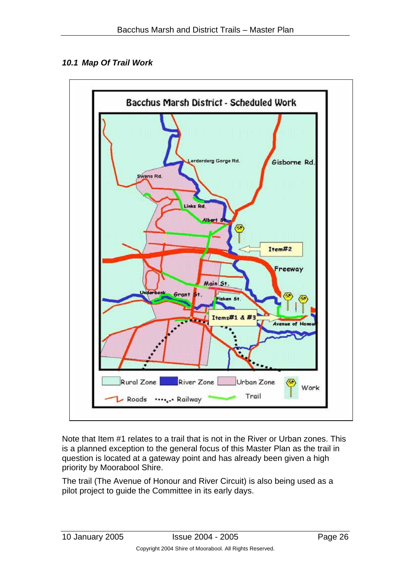#### <span id="page-25-0"></span>*10.1 Map Of Trail Work*



Note that Item #1 relates to a trail that is not in the River or Urban zones. This is a planned exception to the general focus of this Master Plan as the trail in question is located at a gateway point and has already been given a high priority by Moorabool Shire.

The trail (The Avenue of Honour and River Circuit) is also being used as a pilot project to guide the Committee in its early days.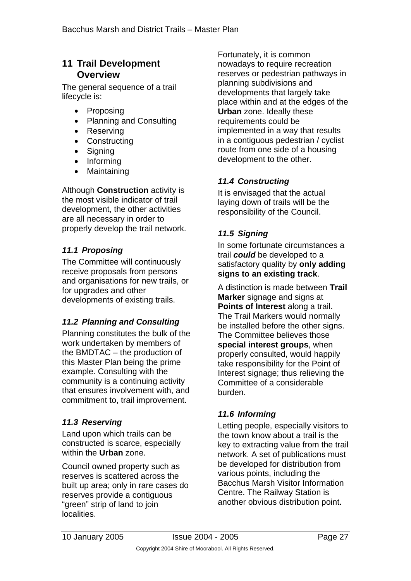# <span id="page-26-0"></span>**11 Trail Development Overview**

The general sequence of a trail lifecycle is:

- Proposing
- Planning and Consulting
- Reserving
- Constructing
- Signing
- Informing
- Maintaining

Although **Construction** activity is the most visible indicator of trail development, the other activities are all necessary in order to properly develop the trail network.

# *11.1 Proposing*

The Committee will continuously receive proposals from persons and organisations for new trails, or for upgrades and other developments of existing trails.

# *11.2 Planning and Consulting*

Planning constitutes the bulk of the work undertaken by members of the BMDTAC – the production of this Master Plan being the prime example. Consulting with the community is a continuing activity that ensures involvement with, and commitment to, trail improvement.

# *11.3 Reserving*

Land upon which trails can be constructed is scarce, especially within the **Urban** zone.

Council owned property such as reserves is scattered across the built up area; only in rare cases do reserves provide a contiguous "green" strip of land to join localities.

Fortunately, it is common nowadays to require recreation reserves or pedestrian pathways in planning subdivisions and developments that largely take place within and at the edges of the **Urban** zone. Ideally these requirements could be implemented in a way that results in a contiguous pedestrian / cyclist route from one side of a housing development to the other.

# *11.4 Constructing*

It is envisaged that the actual laying down of trails will be the responsibility of the Council.

# *11.5 Signing*

In some fortunate circumstances a trail *could* be developed to a satisfactory quality by **only adding signs to an existing track**.

A distinction is made between **Trail Marker** signage and signs at **Points of Interest** along a trail. The Trail Markers would normally be installed before the other signs. The Committee believes those **special interest groups**, when properly consulted, would happily take responsibility for the Point of Interest signage; thus relieving the Committee of a considerable burden.

# *11.6 Informing*

Letting people, especially visitors to the town know about a trail is the key to extracting value from the trail network. A set of publications must be developed for distribution from various points, including the Bacchus Marsh Visitor Information Centre. The Railway Station is another obvious distribution point.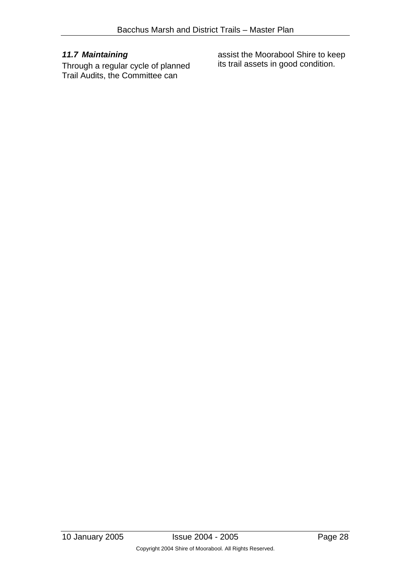# <span id="page-27-0"></span>*11.7 Maintaining*

Through a regular cycle of planned Trail Audits, the Committee can

assist the Moorabool Shire to keep its trail assets in good condition.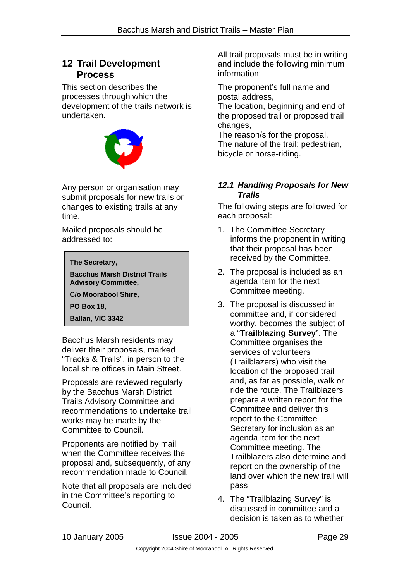# <span id="page-28-0"></span>**12 Trail Development Process**

This section describes the processes through which the development of the trails network is undertaken.



Any person or organisation may submit proposals for new trails or changes to existing trails at any time.

Mailed proposals should be addressed to:

**Bacchus Marsh District Trails Advisory Committee,** 

**C/o Moorabool Shire,** 

**PO Box 18,** 

**Ballan, VIC 3342** 

Bacchus Marsh residents may deliver their proposals, marked "Tracks & Trails", in person to the local shire offices in Main Street.

Proposals are reviewed regularly by the Bacchus Marsh District Trails Advisory Committee and recommendations to undertake trail works may be made by the Committee to Council.

Proponents are notified by mail when the Committee receives the proposal and, subsequently, of any recommendation made to Council.

Note that all proposals are included in the Committee's reporting to Council.

All trail proposals must be in writing and include the following minimum information:

The proponent's full name and postal address,

The location, beginning and end of the proposed trail or proposed trail changes,

The reason/s for the proposal, The nature of the trail: pedestrian, bicycle or horse-riding.

#### *12.1 Handling Proposals for New Trails*

The following steps are followed for each proposal:

- 1. The Committee Secretary informs the proponent in writing that their proposal has been received by the Committee. **The Secretary,** 
	- 2. The proposal is included as an agenda item for the next Committee meeting.
	- 3. The proposal is discussed in committee and, if considered worthy, becomes the subject of a "**Trailblazing Survey**". The Committee organises the services of volunteers (Trailblazers) who visit the location of the proposed trail and, as far as possible, walk or ride the route. The Trailblazers prepare a written report for the Committee and deliver this report to the Committee Secretary for inclusion as an agenda item for the next Committee meeting. The Trailblazers also determine and report on the ownership of the land over which the new trail will pass
	- 4. The "Trailblazing Survey" is discussed in committee and a decision is taken as to whether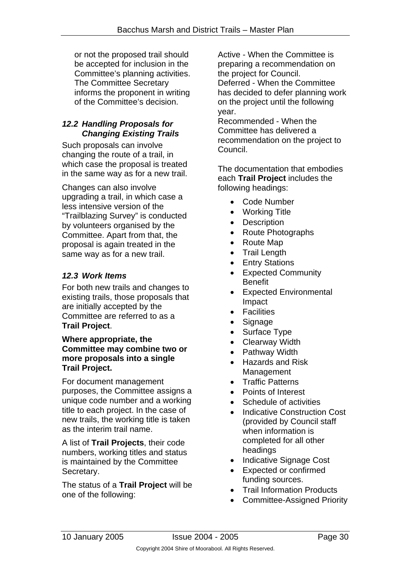<span id="page-29-0"></span>or not the proposed trail should be accepted for inclusion in the Committee's planning activities. The Committee Secretary informs the proponent in writing of the Committee's decision.

## *12.2 Handling Proposals for Changing Existing Trails*

Such proposals can involve changing the route of a trail, in which case the proposal is treated in the same way as for a new trail.

Changes can also involve upgrading a trail, in which case a less intensive version of the "Trailblazing Survey" is conducted by volunteers organised by the Committee. Apart from that, the proposal is again treated in the same way as for a new trail.

### *12.3 Work Items*

For both new trails and changes to existing trails, those proposals that are initially accepted by the Committee are referred to as a **Trail Project**.

#### **Where appropriate, the Committee may combine two or more proposals into a single Trail Project.**

For document management purposes, the Committee assigns a unique code number and a working title to each project. In the case of new trails, the working title is taken as the interim trail name.

A list of **Trail Projects**, their code numbers, working titles and status is maintained by the Committee Secretary.

The status of a **Trail Project** will be one of the following:

Active - When the Committee is preparing a recommendation on the project for Council. Deferred - When the Committee has decided to defer planning work

on the project until the following year.

Recommended - When the Committee has delivered a recommendation on the project to Council.

The documentation that embodies each **Trail Project** includes the following headings:

- Code Number
- Working Title
- Description
- Route Photographs
- Route Map
- Trail Length
- Entry Stations
- Expected Community Benefit
- Expected Environmental Impact
- Facilities
- Signage
- Surface Type
- Clearway Width
- Pathway Width
- Hazards and Risk Management
- Traffic Patterns
- Points of Interest
- Schedule of activities
- Indicative Construction Cost (provided by Council staff when information is completed for all other headings
- Indicative Signage Cost
- Expected or confirmed funding sources.
- Trail Information Products
- Committee-Assigned Priority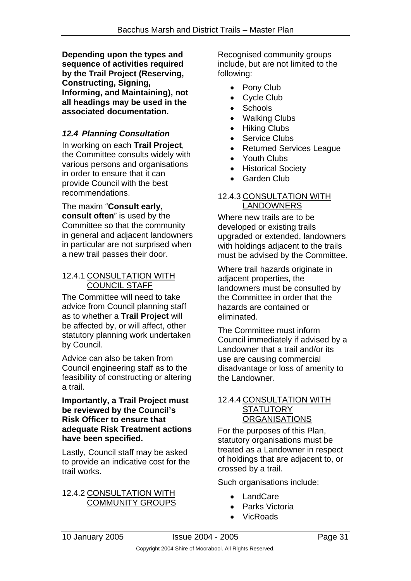<span id="page-30-0"></span>**Depending upon the types and sequence of activities required by the Trail Project (Reserving, Constructing, Signing, Informing, and Maintaining), not all headings may be used in the associated documentation.** 

# *12.4 Planning Consultation*

In working on each **Trail Project**, the Committee consults widely with various persons and organisations in order to ensure that it can provide Council with the best recommendations.

The maxim "**Consult early, consult often**" is used by the Committee so that the community in general and adjacent landowners in particular are not surprised when a new trail passes their door.

#### 12.4.1 CONSULTATION WITH COUNCIL STAFF

The Committee will need to take advice from Council planning staff as to whether a **Trail Project** will be affected by, or will affect, other statutory planning work undertaken by Council.

Advice can also be taken from Council engineering staff as to the feasibility of constructing or altering a trail.

#### **Importantly, a Trail Project must be reviewed by the Council's Risk Officer to ensure that adequate Risk Treatment actions have been specified.**

Lastly, Council staff may be asked to provide an indicative cost for the trail works.

#### 12.4.2 CONSULTATION WITH COMMUNITY GROUPS

Recognised community groups include, but are not limited to the following:

- Pony Club
- Cycle Club
- Schools
- Walking Clubs
- Hiking Clubs
- Service Clubs
- Returned Services League
- Youth Clubs
- Historical Society
- Garden Club

#### 12.4.3 CONSULTATION WITH LANDOWNERS

Where new trails are to be developed or existing trails upgraded or extended, landowners with holdings adjacent to the trails must be advised by the Committee.

Where trail hazards originate in adjacent properties, the landowners must be consulted by the Committee in order that the hazards are contained or eliminated.

The Committee must inform Council immediately if advised by a Landowner that a trail and/or its use are causing commercial disadvantage or loss of amenity to the Landowner.

#### 12.4.4 CONSULTATION WITH **STATUTORY ORGANISATIONS**

For the purposes of this Plan, statutory organisations must be treated as a Landowner in respect of holdings that are adjacent to, or crossed by a trail.

Such organisations include:

- LandCare
- Parks Victoria
- VicRoads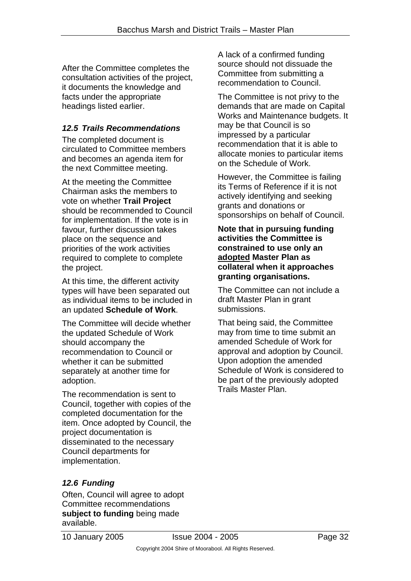<span id="page-31-0"></span>After the Committee completes the consultation activities of the project, it documents the knowledge and facts under the appropriate headings listed earlier.

## *12.5 Trails Recommendations*

The completed document is circulated to Committee members and becomes an agenda item for the next Committee meeting.

At the meeting the Committee Chairman asks the members to vote on whether **Trail Project** should be recommended to Council for implementation. If the vote is in favour, further discussion takes place on the sequence and priorities of the work activities required to complete to complete the project.

At this time, the different activity types will have been separated out as individual items to be included in an updated **Schedule of Work**.

The Committee will decide whether the updated Schedule of Work should accompany the recommendation to Council or whether it can be submitted separately at another time for adoption.

The recommendation is sent to Council, together with copies of the completed documentation for the item. Once adopted by Council, the project documentation is disseminated to the necessary Council departments for implementation.

*12.6 Funding* 

Often, Council will agree to adopt Committee recommendations **subject to funding** being made available.

10 January 2005 Issue 2004 - 2005 Page 32

A lack of a confirmed funding source should not dissuade the Committee from submitting a recommendation to Council.

The Committee is not privy to the demands that are made on Capital Works and Maintenance budgets. It may be that Council is so impressed by a particular recommendation that it is able to allocate monies to particular items on the Schedule of Work.

However, the Committee is failing its Terms of Reference if it is not actively identifying and seeking grants and donations or sponsorships on behalf of Council.

**Note that in pursuing funding activities the Committee is constrained to use only an adopted Master Plan as collateral when it approaches granting organisations.**

The Committee can not include a draft Master Plan in grant submissions.

That being said, the Committee may from time to time submit an amended Schedule of Work for approval and adoption by Council. Upon adoption the amended Schedule of Work is considered to be part of the previously adopted Trails Master Plan.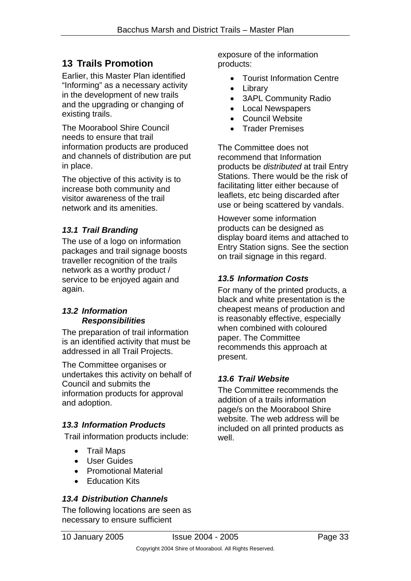# <span id="page-32-0"></span>**13 Trails Promotion**

Earlier, this Master Plan identified "Informing" as a necessary activity in the development of new trails and the upgrading or changing of existing trails.

The Moorabool Shire Council needs to ensure that trail information products are produced and channels of distribution are put in place.

The objective of this activity is to increase both community and visitor awareness of the trail network and its amenities.

# *13.1 Trail Branding*

The use of a logo on information packages and trail signage boosts traveller recognition of the trails network as a worthy product / service to be enjoyed again and again.

#### *13.2 Information Responsibilities*

The preparation of trail information is an identified activity that must be addressed in all Trail Projects.

The Committee organises or undertakes this activity on behalf of Council and submits the information products for approval and adoption.

# *13.3 Information Products*

Trail information products include:

- Trail Maps
- User Guides
- Promotional Material
- Education Kits

# *13.4 Distribution Channels*

The following locations are seen as necessary to ensure sufficient

exposure of the information products:

- Tourist Information Centre
- Library
- 3APL Community Radio
- Local Newspapers
- Council Website
- Trader Premises

The Committee does not recommend that Information products be *distributed* at trail Entry Stations. There would be the risk of facilitating litter either because of leaflets, etc being discarded after use or being scattered by vandals.

However some information products can be designed as display board items and attached to Entry Station signs. See the section on trail signage in this regard.

# *13.5 Information Costs*

For many of the printed products, a black and white presentation is the cheapest means of production and is reasonably effective, especially when combined with coloured paper. The Committee recommends this approach at present.

# *13.6 Trail Website*

The Committee recommends the addition of a trails information page/s on the Moorabool Shire website. The web address will be included on all printed products as well.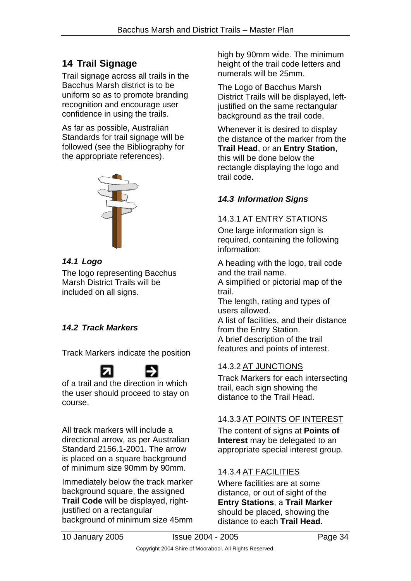# <span id="page-33-0"></span>**14 Trail Signage**

Trail signage across all trails in the Bacchus Marsh district is to be uniform so as to promote branding recognition and encourage user confidence in using the trails.

As far as possible, Australian Standards for trail signage will be followed (see the Bibliography for the appropriate references).



### *14.1 Logo*

The logo representing Bacchus Marsh District Trails will be included on all signs.

# *14.2 Track Markers*

Track Markers indicate the position



of a trail and the direction in which the user should proceed to stay on course.

All track markers will include a directional arrow, as per Australian Standard 2156.1-2001. The arrow is placed on a square background of minimum size 90mm by 90mm.

Immediately below the track marker background square, the assigned **Trail Code** will be displayed, rightjustified on a rectangular background of minimum size 45mm high by 90mm wide. The minimum height of the trail code letters and numerals will be 25mm.

The Logo of Bacchus Marsh District Trails will be displayed, leftjustified on the same rectangular background as the trail code.

Whenever it is desired to display the distance of the marker from the **Trail Head**, or an **Entry Station**, this will be done below the rectangle displaying the logo and trail code.

# *14.3 Information Signs*

#### 14.3.1 AT ENTRY STATIONS

One large information sign is required, containing the following information:

A heading with the logo, trail code and the trail name.

A simplified or pictorial map of the trail.

The length, rating and types of users allowed.

A list of facilities, and their distance from the Entry Station. A brief description of the trail features and points of interest.

#### 14.3.2 AT JUNCTIONS

Track Markers for each intersecting trail, each sign showing the distance to the Trail Head.

#### 14.3.3 AT POINTS OF INTEREST

The content of signs at **Points of Interest** may be delegated to an appropriate special interest group.

# 14.3.4 AT FACILITIES

Where facilities are at some distance, or out of sight of the **Entry Stations**, a **Trail Marker** should be placed, showing the distance to each **Trail Head**.

Copyright 2004 Shire of Moorabool. All Rights Reserved.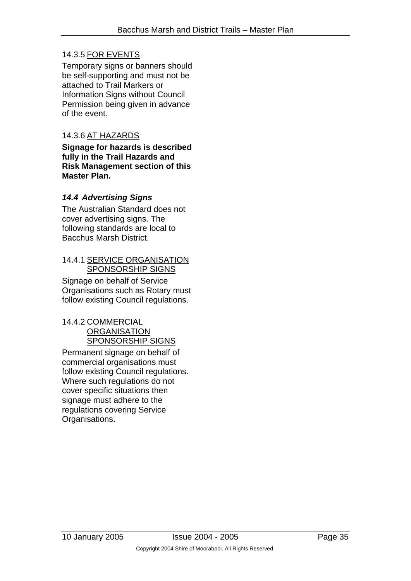#### <span id="page-34-0"></span>14.3.5 FOR EVENTS

Temporary signs or banners should be self-supporting and must not be attached to Trail Markers or Information Signs without Council Permission being given in advance of the event.

#### 14.3.6 AT HAZARDS

**Signage for hazards is described fully in the Trail Hazards and Risk Management section of this Master Plan.** 

#### *14.4 Advertising Signs*

The Australian Standard does not cover advertising signs. The following standards are local to Bacchus Marsh District.

#### 14.4.1 SERVICE ORGANISATION SPONSORSHIP SIGNS

Signage on behalf of Service Organisations such as Rotary must follow existing Council regulations.

#### 14.4.2 COMMERCIAL **ORGANISATION** SPONSORSHIP SIGNS

Permanent signage on behalf of commercial organisations must follow existing Council regulations. Where such regulations do not cover specific situations then signage must adhere to the regulations covering Service Organisations.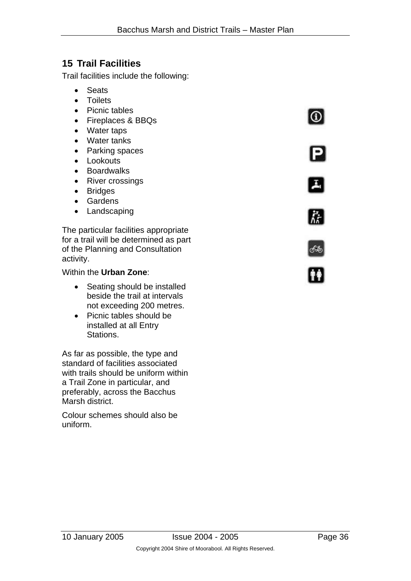# <span id="page-35-0"></span>**15 Trail Facilities**

Trail facilities include the following:

- Seats
- Toilets
- Picnic tables
- Fireplaces & BBQs
- Water taps
- Water tanks
- Parking spaces
- Lookouts
- Boardwalks
- River crossings
- Bridges
- Gardens
- Landscaping

The particular facilities appropriate for a trail will be determined as part of the Planning and Consultation activity.

#### Within the **Urban Zone**:

- Seating should be installed beside the trail at intervals not exceeding 200 metres.
- Picnic tables should be installed at all Entry Stations.

As far as possible, the type and standard of facilities associated with trails should be uniform within a Trail Zone in particular, and preferably, across the Bacchus Marsh district.

Colour schemes should also be uniform.



Θ

E



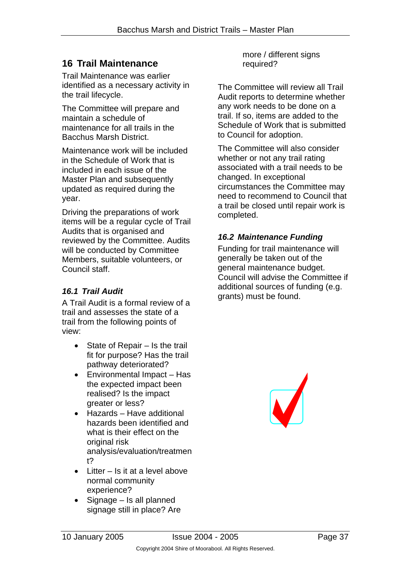# <span id="page-36-0"></span>**16 Trail Maintenance**

Trail Maintenance was earlier identified as a necessary activity in the trail lifecycle.

The Committee will prepare and maintain a schedule of maintenance for all trails in the Bacchus Marsh District.

Maintenance work will be included in the Schedule of Work that is included in each issue of the Master Plan and subsequently updated as required during the year.

Driving the preparations of work items will be a regular cycle of Trail Audits that is organised and reviewed by the Committee. Audits will be conducted by Committee Members, suitable volunteers, or Council staff.

# *16.1 Trail Audit*

A Trail Audit is a formal review of a trail and assesses the state of a trail from the following points of view:

- State of Repair Is the trail fit for purpose? Has the trail pathway deteriorated?
- Environmental Impact Has the expected impact been realised? Is the impact greater or less?
- Hazards Have additional hazards been identified and what is their effect on the original risk analysis/evaluation/treatmen t?
- $\bullet$  Litter Is it at a level above normal community experience?
- Signage Is all planned signage still in place? Are

more / different signs required?

The Committee will review all Trail Audit reports to determine whether any work needs to be done on a trail. If so, items are added to the Schedule of Work that is submitted to Council for adoption.

The Committee will also consider whether or not any trail rating associated with a trail needs to be changed. In exceptional circumstances the Committee may need to recommend to Council that a trail be closed until repair work is completed.

# *16.2 Maintenance Funding*

Funding for trail maintenance will generally be taken out of the general maintenance budget. Council will advise the Committee if additional sources of funding (e.g. grants) must be found.

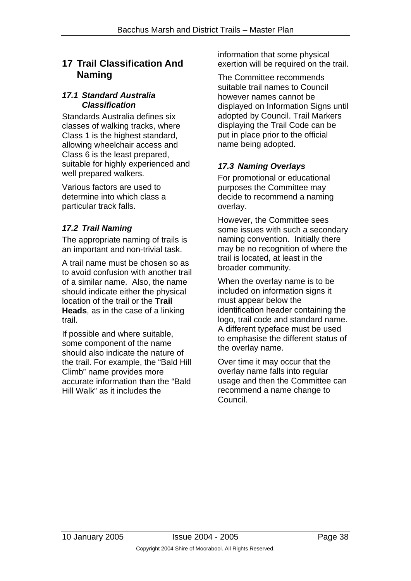# <span id="page-37-0"></span>**17 Trail Classification And Naming**

#### *17.1 Standard Australia Classification*

Standards Australia defines six classes of walking tracks, where Class 1 is the highest standard, allowing wheelchair access and Class 6 is the least prepared, suitable for highly experienced and well prepared walkers.

Various factors are used to determine into which class a particular track falls.

# *17.2 Trail Naming*

The appropriate naming of trails is an important and non-trivial task.

A trail name must be chosen so as to avoid confusion with another trail of a similar name. Also, the name should indicate either the physical location of the trail or the **Trail Heads**, as in the case of a linking trail.

If possible and where suitable, some component of the name should also indicate the nature of the trail. For example, the "Bald Hill Climb" name provides more accurate information than the "Bald Hill Walk" as it includes the

information that some physical exertion will be required on the trail.

The Committee recommends suitable trail names to Council however names cannot be displayed on Information Signs until adopted by Council. Trail Markers displaying the Trail Code can be put in place prior to the official name being adopted.

# *17.3 Naming Overlays*

For promotional or educational purposes the Committee may decide to recommend a naming overlay.

However, the Committee sees some issues with such a secondary naming convention. Initially there may be no recognition of where the trail is located, at least in the broader community.

When the overlay name is to be included on information signs it must appear below the identification header containing the logo, trail code and standard name. A different typeface must be used to emphasise the different status of the overlay name.

Over time it may occur that the overlay name falls into regular usage and then the Committee can recommend a name change to Council.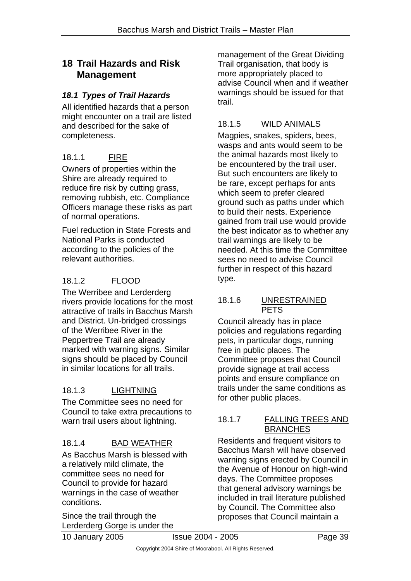# <span id="page-38-0"></span>**18 Trail Hazards and Risk Management**

### *18.1 Types of Trail Hazards*

All identified hazards that a person might encounter on a trail are listed and described for the sake of completeness.

# 18.1.1 FIRE

Owners of properties within the Shire are already required to reduce fire risk by cutting grass, removing rubbish, etc. Compliance Officers manage these risks as part of normal operations.

Fuel reduction in State Forests and National Parks is conducted according to the policies of the relevant authorities.

# 18.1.2 FLOOD

The Werribee and Lerderderg rivers provide locations for the most attractive of trails in Bacchus Marsh and District. Un-bridged crossings of the Werribee River in the Peppertree Trail are already marked with warning signs. Similar signs should be placed by Council in similar locations for all trails.

# 18.1.3 LIGHTNING

The Committee sees no need for Council to take extra precautions to warn trail users about lightning.

#### 18.1.4 BAD WEATHER

As Bacchus Marsh is blessed with a relatively mild climate, the committee sees no need for Council to provide for hazard warnings in the case of weather conditions.

Since the trail through the Lerderderg Gorge is under the

10 January 2005 Issue 2004 - 2005 Page 39

management of the Great Dividing Trail organisation, that body is more appropriately placed to advise Council when and if weather warnings should be issued for that trail.

# 18.1.5 WILD ANIMALS

Magpies, snakes, spiders, bees, wasps and ants would seem to be the animal hazards most likely to be encountered by the trail user. But such encounters are likely to be rare, except perhaps for ants which seem to prefer cleared ground such as paths under which to build their nests. Experience gained from trail use would provide the best indicator as to whether any trail warnings are likely to be needed. At this time the Committee sees no need to advise Council further in respect of this hazard type.

#### 18.1.6 UNRESTRAINED PETS

Council already has in place policies and regulations regarding pets, in particular dogs, running free in public places. The Committee proposes that Council provide signage at trail access points and ensure compliance on trails under the same conditions as for other public places.

#### 18.1.7 FALLING TREES AND **BRANCHES**

Residents and frequent visitors to Bacchus Marsh will have observed warning signs erected by Council in the Avenue of Honour on high-wind days. The Committee proposes that general advisory warnings be included in trail literature published by Council. The Committee also proposes that Council maintain a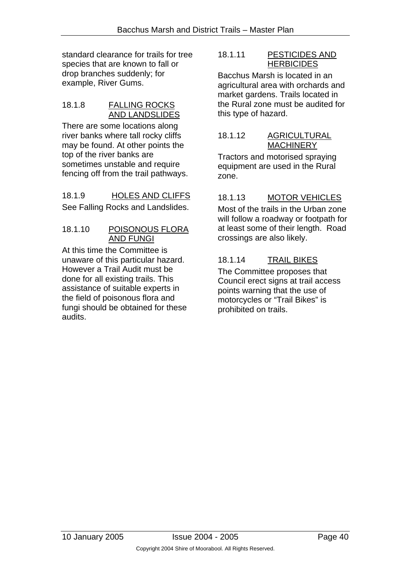<span id="page-39-0"></span>standard clearance for trails for tree species that are known to fall or drop branches suddenly; for example, River Gums.

#### 18.1.8 FALLING ROCKS AND LANDSLIDES

There are some locations along river banks where tall rocky cliffs may be found. At other points the top of the river banks are sometimes unstable and require fencing off from the trail pathways.

#### 18.1.9 HOLES AND CLIFFS See Falling Rocks and Landslides.

#### 18.1.10 POISONOUS FLORA AND FUNGI

At this time the Committee is unaware of this particular hazard. However a Trail Audit must be done for all existing trails. This assistance of suitable experts in the field of poisonous flora and fungi should be obtained for these audits.

### 18.1.11 PESTICIDES AND **HERBICIDES**

Bacchus Marsh is located in an agricultural area with orchards and market gardens. Trails located in the Rural zone must be audited for this type of hazard.

### 18.1.12 AGRICULTURAL **MACHINERY**

Tractors and motorised spraying equipment are used in the Rural zone.

# 18.1.13 MOTOR VEHICLES

Most of the trails in the Urban zone will follow a roadway or footpath for at least some of their length. Road crossings are also likely.

# 18.1.14 TRAIL BIKES

The Committee proposes that Council erect signs at trail access points warning that the use of motorcycles or "Trail Bikes" is prohibited on trails.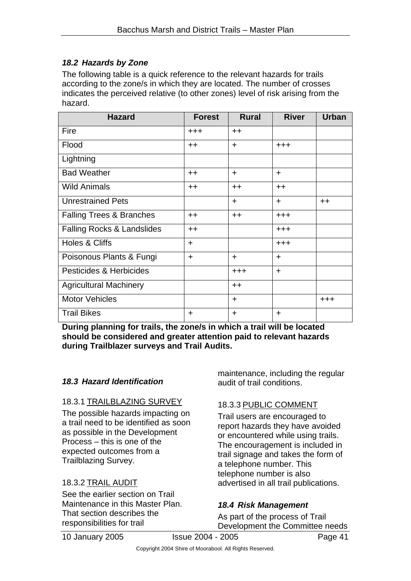### <span id="page-40-0"></span>*18.2 Hazards by Zone*

The following table is a quick reference to the relevant hazards for trails according to the zone/s in which they are located. The number of crosses indicates the perceived relative (to other zones) level of risk arising from the hazard.

| <b>Hazard</b>                         | <b>Forest</b> | <b>Rural</b> | <b>River</b> | Urban   |
|---------------------------------------|---------------|--------------|--------------|---------|
| Fire                                  | $+ + +$       | $++$         |              |         |
| Flood                                 | $++$          | $\ddot{}$    | $^{+++}$     |         |
| Lightning                             |               |              |              |         |
| <b>Bad Weather</b>                    | $++$          | $\ddot{}$    | $\ddot{}$    |         |
| <b>Wild Animals</b>                   | $++$          | $++$         | $++$         |         |
| <b>Unrestrained Pets</b>              |               | $\div$       | $\ddot{}$    | $++$    |
| Falling Trees & Branches              | $++$          | $++$         | $+ + +$      |         |
| <b>Falling Rocks &amp; Landslides</b> | $++$          |              | $^{+++}$     |         |
| <b>Holes &amp; Cliffs</b>             | $\ddot{}$     |              | $^{+++}$     |         |
| Poisonous Plants & Fungi              | $\ddot{}$     | $\div$       | $\div$       |         |
| Pesticides & Herbicides               |               | $+ + +$      | $\div$       |         |
| <b>Agricultural Machinery</b>         |               | $++$         |              |         |
| <b>Motor Vehicles</b>                 |               | $\pm$        |              | $+ + +$ |
| <b>Trail Bikes</b>                    | $\div$        | $\div$       | $\div$       |         |

**During planning for trails, the zone/s in which a trail will be located should be considered and greater attention paid to relevant hazards during Trailblazer surveys and Trail Audits.** 

#### *18.3 Hazard Identification*

#### 18.3.1 TRAILBLAZING SURVEY

The possible hazards impacting on a trail need to be identified as soon as possible in the Development Process – this is one of the expected outcomes from a Trailblazing Survey.

#### 18.3.2 TRAIL AUDIT

See the earlier section on Trail Maintenance in this Master Plan. That section describes the responsibilities for trail

maintenance, including the regular audit of trail conditions.

#### 18.3.3 PUBLIC COMMENT

Trail users are encouraged to report hazards they have avoided or encountered while using trails. The encouragement is included in trail signage and takes the form of a telephone number. This telephone number is also advertised in all trail publications.

# *18.4 Risk Management*

As part of the process of Trail Development the Committee needs

10 January 2005 Issue 2004 - 2005 Page 41

Copyright 2004 Shire of Moorabool. All Rights Reserved.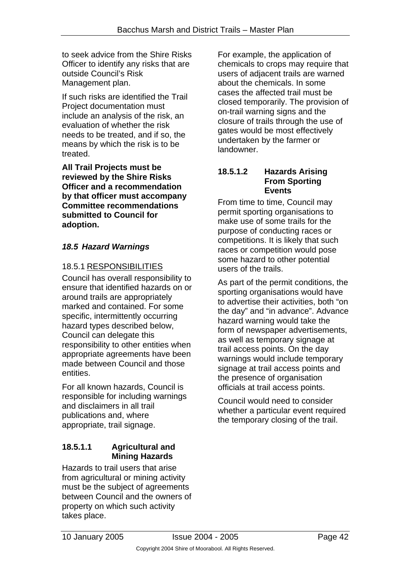<span id="page-41-0"></span>to seek advice from the Shire Risks Officer to identify any risks that are outside Council's Risk Management plan.

If such risks are identified the Trail Project documentation must include an analysis of the risk, an evaluation of whether the risk needs to be treated, and if so, the means by which the risk is to be treated.

**All Trail Projects must be reviewed by the Shire Risks Officer and a recommendation by that officer must accompany Committee recommendations submitted to Council for adoption.** 

# *18.5 Hazard Warnings*

### 18.5.1 RESPONSIBILITIES

Council has overall responsibility to ensure that identified hazards on or around trails are appropriately marked and contained. For some specific, intermittently occurring hazard types described below, Council can delegate this responsibility to other entities when appropriate agreements have been made between Council and those entities.

For all known hazards, Council is responsible for including warnings and disclaimers in all trail publications and, where appropriate, trail signage.

#### **18.5.1.1 Agricultural and Mining Hazards**

Hazards to trail users that arise from agricultural or mining activity must be the subject of agreements between Council and the owners of property on which such activity takes place.

For example, the application of chemicals to crops may require that users of adjacent trails are warned about the chemicals. In some cases the affected trail must be closed temporarily. The provision of on-trail warning signs and the closure of trails through the use of gates would be most effectively undertaken by the farmer or landowner.

#### **18.5.1.2 Hazards Arising From Sporting Events**

From time to time, Council may permit sporting organisations to make use of some trails for the purpose of conducting races or competitions. It is likely that such races or competition would pose some hazard to other potential users of the trails.

As part of the permit conditions, the sporting organisations would have to advertise their activities, both "on the day" and "in advance". Advance hazard warning would take the form of newspaper advertisements, as well as temporary signage at trail access points. On the day warnings would include temporary signage at trail access points and the presence of organisation officials at trail access points.

Council would need to consider whether a particular event required the temporary closing of the trail.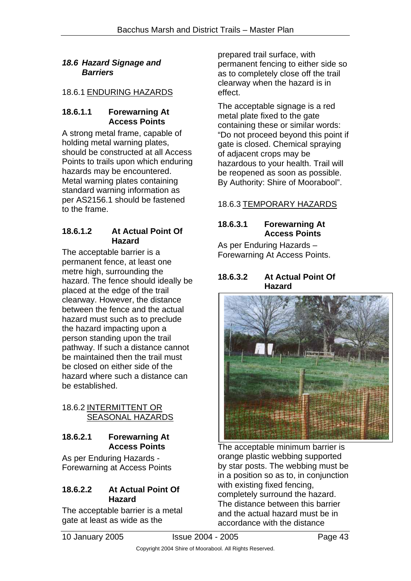#### <span id="page-42-0"></span>*18.6 Hazard Signage and Barriers*

#### 18.6.1 ENDURING HAZARDS

#### **18.6.1.1 Forewarning At Access Points**

A strong metal frame, capable of holding metal warning plates, should be constructed at all Access Points to trails upon which enduring hazards may be encountered. Metal warning plates containing standard warning information as per AS2156.1 should be fastened to the frame.

#### **18.6.1.2 At Actual Point Of Hazard**

The acceptable barrier is a permanent fence, at least one metre high, surrounding the hazard. The fence should ideally be placed at the edge of the trail clearway. However, the distance between the fence and the actual hazard must such as to preclude the hazard impacting upon a person standing upon the trail pathway. If such a distance cannot be maintained then the trail must be closed on either side of the hazard where such a distance can be established.

#### 18.6.2 INTERMITTENT OR SEASONAL HAZARDS

### **18.6.2.1 Forewarning At Access Points**

As per Enduring Hazards - Forewarning at Access Points

#### **18.6.2.2 At Actual Point Of Hazard**

The acceptable barrier is a metal gate at least as wide as the

prepared trail surface, with permanent fencing to either side so as to completely close off the trail clearway when the hazard is in effect.

The acceptable signage is a red metal plate fixed to the gate containing these or similar words: "Do not proceed beyond this point if gate is closed. Chemical spraying of adjacent crops may be hazardous to your health. Trail will be reopened as soon as possible. By Authority: Shire of Moorabool".

#### 18.6.3 TEMPORARY HAZARDS

#### **18.6.3.1 Forewarning At Access Points**

As per Enduring Hazards – Forewarning At Access Points.

#### **18.6.3.2 At Actual Point Of Hazard**



The acceptable minimum barrier is orange plastic webbing supported by star posts. The webbing must be in a position so as to, in conjunction with existing fixed fencing, completely surround the hazard. The distance between this barrier and the actual hazard must be in accordance with the distance

10 January 2005 Issue 2004 - 2005 Page 43

Copyright 2004 Shire of Moorabool. All Rights Reserved.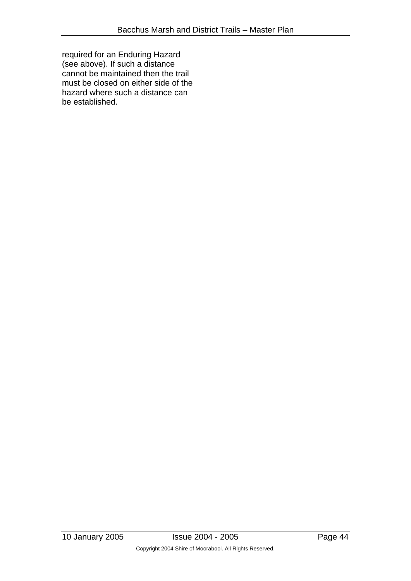required for an Enduring Hazard (see above). If such a distance cannot be maintained then the trail must be closed on either side of the hazard where such a distance can be established.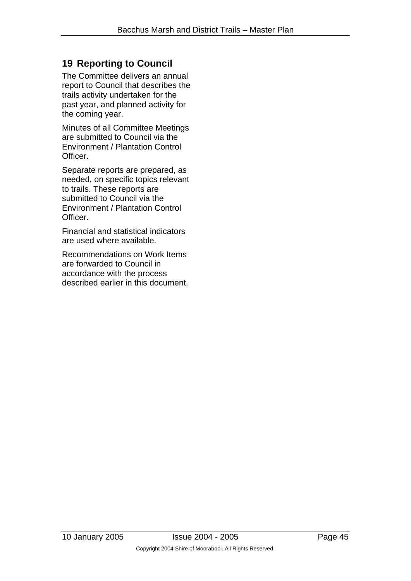# <span id="page-44-0"></span>**19 Reporting to Council**

The Committee delivers an annual report to Council that describes the trails activity undertaken for the past year, and planned activity for the coming year.

Minutes of all Committee Meetings are submitted to Council via the Environment / Plantation Control Officer.

Separate reports are prepared, as needed, on specific topics relevant to trails. These reports are submitted to Council via the Environment / Plantation Control Officer.

Financial and statistical indicators are used where available.

Recommendations on Work Items are forwarded to Council in accordance with the process described earlier in this document.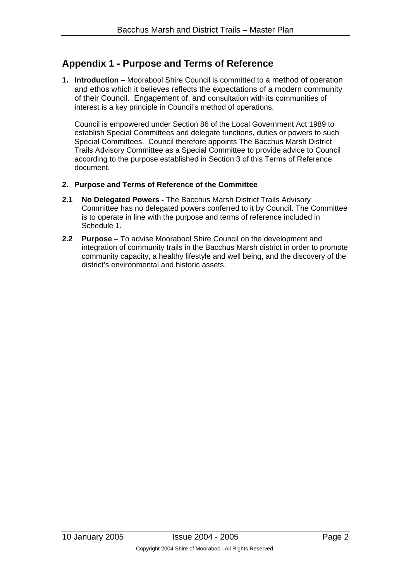# <span id="page-45-0"></span>**Appendix 1 - Purpose and Terms of Reference**

**1. Introduction –** Moorabool Shire Council is committed to a method of operation and ethos which it believes reflects the expectations of a modern community of their Council. Engagement of, and consultation with its communities of interest is a key principle in Council's method of operations.

Council is empowered under Section 86 of the Local Government Act 1989 to establish Special Committees and delegate functions, duties or powers to such Special Committees. Council therefore appoints The Bacchus Marsh District Trails Advisory Committee as a Special Committee to provide advice to Council according to the purpose established in Section 3 of this Terms of Reference document.

#### **2. Purpose and Terms of Reference of the Committee**

- **2.1 No Delegated Powers -** The Bacchus Marsh District Trails Advisory Committee has no delegated powers conferred to it by Council. The Committee is to operate in line with the purpose and terms of reference included in Schedule 1.
- **2.2 Purpose** To advise Moorabool Shire Council on the development and integration of community trails in the Bacchus Marsh district in order to promote community capacity, a healthy lifestyle and well being, and the discovery of the district's environmental and historic assets.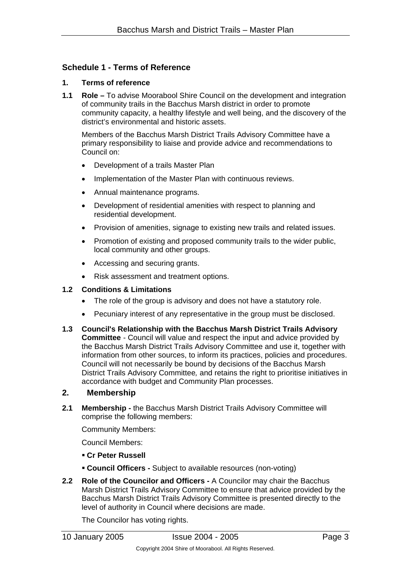#### **Schedule 1 - Terms of Reference**

#### **1. Terms of reference**

**1.1 Role –** To advise Moorabool Shire Council on the development and integration of community trails in the Bacchus Marsh district in order to promote community capacity, a healthy lifestyle and well being, and the discovery of the district's environmental and historic assets.

Members of the Bacchus Marsh District Trails Advisory Committee have a primary responsibility to liaise and provide advice and recommendations to Council on:

- Development of a trails Master Plan
- Implementation of the Master Plan with continuous reviews.
- Annual maintenance programs.
- Development of residential amenities with respect to planning and residential development.
- Provision of amenities, signage to existing new trails and related issues.
- Promotion of existing and proposed community trails to the wider public, local community and other groups.
- Accessing and securing grants.
- Risk assessment and treatment options.

#### **1.2 Conditions & Limitations**

- The role of the group is advisory and does not have a statutory role.
- Pecuniary interest of any representative in the group must be disclosed.
- **1.3 Council's Relationship with the Bacchus Marsh District Trails Advisory Committee** - Council will value and respect the input and advice provided by the Bacchus Marsh District Trails Advisory Committee and use it, together with information from other sources, to inform its practices, policies and procedures. Council will not necessarily be bound by decisions of the Bacchus Marsh District Trails Advisory Committee*,* and retains the right to prioritise initiatives in accordance with budget and Community Plan processes.

#### **2. Membership**

**2.1 Membership -** the Bacchus Marsh District Trails Advisory Committee will comprise the following members:

Community Members:

Council Members:

- **Cr Peter Russell**
- **Council Officers** Subject to available resources (non-voting)
- **2.2 Role of the Councilor and Officers -** A Councilor may chair the Bacchus Marsh District Trails Advisory Committee to ensure that advice provided by the Bacchus Marsh District Trails Advisory Committee is presented directly to the level of authority in Council where decisions are made.

The Councilor has voting rights.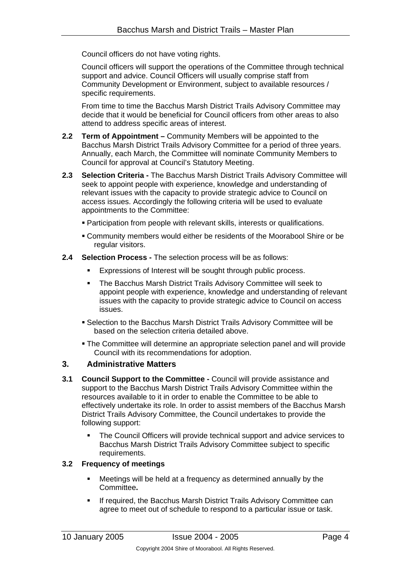Council officers do not have voting rights.

Council officers will support the operations of the Committee through technical support and advice. Council Officers will usually comprise staff from Community Development or Environment, subject to available resources / specific requirements.

From time to time the Bacchus Marsh District Trails Advisory Committee may decide that it would be beneficial for Council officers from other areas to also attend to address specific areas of interest.

- **2.2 Term of Appointment –** Community Members will be appointed to the Bacchus Marsh District Trails Advisory Committee for a period of three years. Annually, each March, the Committee will nominate Community Members to Council for approval at Council's Statutory Meeting.
- **2.3 Selection Criteria -** The Bacchus Marsh District Trails Advisory Committee will seek to appoint people with experience, knowledge and understanding of relevant issues with the capacity to provide strategic advice to Council on access issues. Accordingly the following criteria will be used to evaluate appointments to the Committee:
	- Participation from people with relevant skills, interests or qualifications.
	- Community members would either be residents of the Moorabool Shire or be regular visitors.
- **2.4 Selection Process -** The selection process will be as follows:
	- Expressions of Interest will be sought through public process.
	- **The Bacchus Marsh District Trails Advisory Committee will seek to** appoint people with experience, knowledge and understanding of relevant issues with the capacity to provide strategic advice to Council on access issues.
	- Selection to the Bacchus Marsh District Trails Advisory Committee will be based on the selection criteria detailed above.
	- The Committee will determine an appropriate selection panel and will provide Council with its recommendations for adoption.

#### **3. Administrative Matters**

- **3.1 Council Support to the Committee -** Council will provide assistance and support to the Bacchus Marsh District Trails Advisory Committee within the resources available to it in order to enable the Committee to be able to effectively undertake its role. In order to assist members of the Bacchus Marsh District Trails Advisory Committee, the Council undertakes to provide the following support:
	- The Council Officers will provide technical support and advice services to Bacchus Marsh District Trails Advisory Committee subject to specific requirements.

#### **3.2 Frequency of meetings**

- Meetings will be held at a frequency as determined annually by the Committee**.**
- **If required, the Bacchus Marsh District Trails Advisory Committee can** agree to meet out of schedule to respond to a particular issue or task.